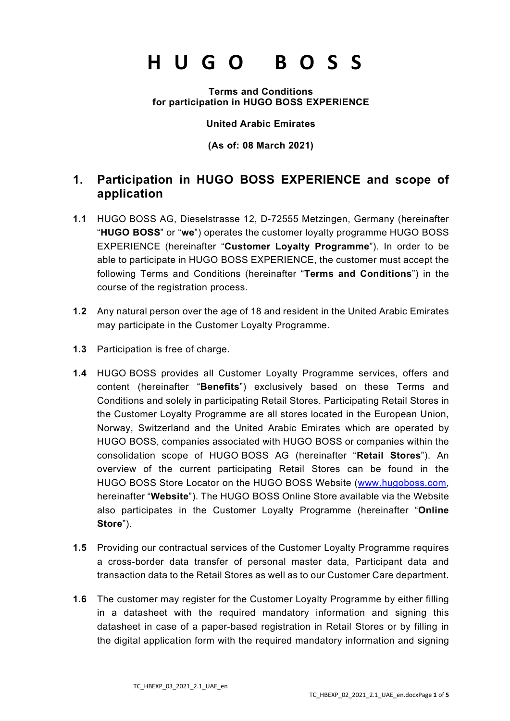**Terms and Conditions for participation in HUGO BOSS EXPERIENCE**

#### **United Arabic Emirates**

#### **(As of: 08 March 2021)**

## **1. Participation in HUGO BOSS EXPERIENCE and scope of application**

- <span id="page-0-0"></span>**1.1** HUGO BOSS AG, Dieselstrasse 12, D-72555 Metzingen, Germany (hereinafter "**HUGO BOSS**" or "**we**") operates the customer loyalty programme HUGO BOSS EXPERIENCE (hereinafter "**Customer Loyalty Programme**"). In order to be able to participate in HUGO BOSS EXPERIENCE, the customer must accept the following Terms and Conditions (hereinafter "**Terms and Conditions**") in the course of the registration process.
- **1.2** Any natural person over the age of 18 and resident in the United Arabic Emirates may participate in the Customer Loyalty Programme.
- **1.3** Participation is free of charge.
- **1.4** HUGO BOSS provides all Customer Loyalty Programme services, offers and content (hereinafter "**Benefits**") exclusively based on these Terms and Conditions and solely in participating Retail Stores. Participating Retail Stores in the Customer Loyalty Programme are all stores located in the European Union, Norway, Switzerland and the United Arabic Emirates which are operated by HUGO BOSS, companies associated with HUGO BOSS or companies within the consolidation scope of HUGO BOSS AG (hereinafter "**Retail Stores**"). An overview of the current participating Retail Stores can be found in the HUGO BOSS Store Locator on the HUGO BOSS Website [\(www.hugoboss.com,](http://www.hugoboss.com/) hereinafter "**Website**"). The HUGO BOSS Online Store available via the Website also participates in the Customer Loyalty Programme (hereinafter "**Online Store**").
- **1.5** Providing our contractual services of the Customer Loyalty Programme requires a cross-border data transfer of personal master data, Participant data and transaction data to the Retail Stores as well as to our Customer Care department.
- **1.6** The customer may register for the Customer Loyalty Programme by either filling in a datasheet with the required mandatory information and signing this datasheet in case of a paper-based registration in Retail Stores or by filling in the digital application form with the required mandatory information and signing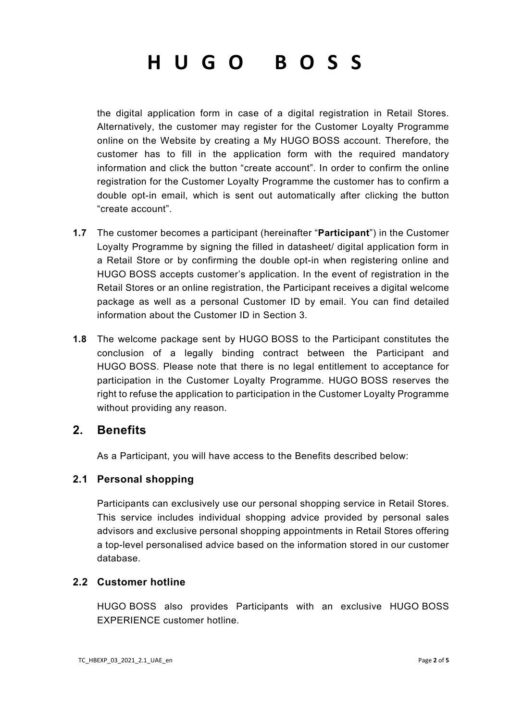the digital application form in case of a digital registration in Retail Stores. Alternatively, the customer may register for the Customer Loyalty Programme online on the Website by creating a My HUGO BOSS account. Therefore, the customer has to fill in the application form with the required mandatory information and click the button "create account". In order to confirm the online registration for the Customer Loyalty Programme the customer has to confirm a double opt-in email, which is sent out automatically after clicking the button "create account".

- **1.7** The customer becomes a participant (hereinafter "**Participant**") in the Customer Loyalty Programme by signing the filled in datasheet/ digital application form in a Retail Store or by confirming the double opt-in when registering online and HUGO BOSS accepts customer's application. In the event of registration in the Retail Stores or an online registration, the Participant receives a digital welcome package as well as a personal Customer ID by email. You can find detailed information about the Customer ID in Section 3.
- **1.8** The welcome package sent by HUGO BOSS to the Participant constitutes the conclusion of a legally binding contract between the Participant and HUGO BOSS. Please note that there is no legal entitlement to acceptance for participation in the Customer Loyalty Programme. HUGO BOSS reserves the right to refuse the application to participation in the Customer Loyalty Programme without providing any reason.

### **2. Benefits**

As a Participant, you will have access to the Benefits described below:

#### **2.1 Personal shopping**

Participants can exclusively use our personal shopping service in Retail Stores. This service includes individual shopping advice provided by personal sales advisors and exclusive personal shopping appointments in Retail Stores offering a top-level personalised advice based on the information stored in our customer database.

#### **2.2 Customer hotline**

HUGO BOSS also provides Participants with an exclusive HUGO BOSS EXPERIENCE customer hotline.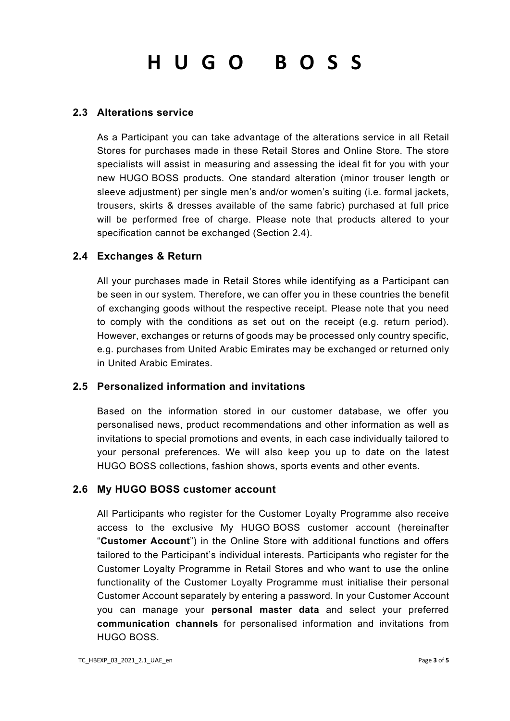#### **2.3 Alterations service**

As a Participant you can take advantage of the alterations service in all Retail Stores for purchases made in these Retail Stores and Online Store. The store specialists will assist in measuring and assessing the ideal fit for you with your new HUGO BOSS products. One standard alteration (minor trouser length or sleeve adjustment) per single men's and/or women's suiting (i.e. formal jackets, trousers, skirts & dresses available of the same fabric) purchased at full price will be performed free of charge. Please note that products altered to your specification cannot be exchanged (Section 2.4).

#### **2.4 Exchanges & Return**

All your purchases made in Retail Stores while identifying as a Participant can be seen in our system. Therefore, we can offer you in these countries the benefit of exchanging goods without the respective receipt. Please note that you need to comply with the conditions as set out on the receipt (e.g. return period). However, exchanges or returns of goods may be processed only country specific, e.g. purchases from United Arabic Emirates may be exchanged or returned only in United Arabic Emirates.

#### **2.5 Personalized information and invitations**

Based on the information stored in our customer database, we offer you personalised news, product recommendations and other information as well as invitations to special promotions and events, in each case individually tailored to your personal preferences. We will also keep you up to date on the latest HUGO BOSS collections, fashion shows, sports events and other events.

#### **2.6 My HUGO BOSS customer account**

All Participants who register for the Customer Loyalty Programme also receive access to the exclusive My HUGO BOSS customer account (hereinafter "**Customer Account**") in the Online Store with additional functions and offers tailored to the Participant's individual interests. Participants who register for the Customer Loyalty Programme in Retail Stores and who want to use the online functionality of the Customer Loyalty Programme must initialise their personal Customer Account separately by entering a password. In your Customer Account you can manage your **personal master data** and select your preferred **communication channels** for personalised information and invitations from HUGO BOSS.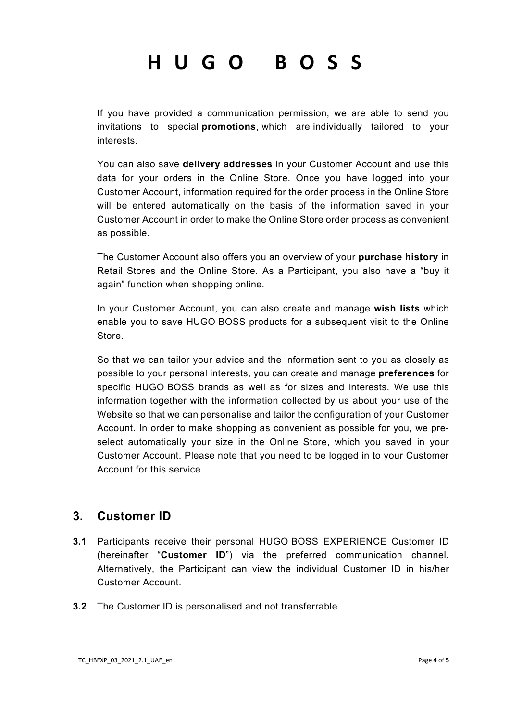If you have provided a communication permission, we are able to send you invitations to special **promotions**, which are individually tailored to your interests.

You can also save **delivery addresses** in your Customer Account and use this data for your orders in the Online Store. Once you have logged into your Customer Account, information required for the order process in the Online Store will be entered automatically on the basis of the information saved in your Customer Account in order to make the Online Store order process as convenient as possible.

The Customer Account also offers you an overview of your **purchase history** in Retail Stores and the Online Store. As a Participant, you also have a "buy it again" function when shopping online.

In your Customer Account, you can also create and manage **wish lists** which enable you to save HUGO BOSS products for a subsequent visit to the Online Store.

So that we can tailor your advice and the information sent to you as closely as possible to your personal interests, you can create and manage **preferences** for specific HUGO BOSS brands as well as for sizes and interests. We use this information together with the information collected by us about your use of the Website so that we can personalise and tailor the configuration of your Customer Account. In order to make shopping as convenient as possible for you, we preselect automatically your size in the Online Store, which you saved in your Customer Account. Please note that you need to be logged in to your Customer Account for this service.

## **3. Customer ID**

- **3.1** Participants receive their personal HUGO BOSS EXPERIENCE Customer ID (hereinafter "**Customer ID**") via the preferred communication channel. Alternatively, the Participant can view the individual Customer ID in his/her Customer Account.
- **3.2** The Customer ID is personalised and not transferrable.